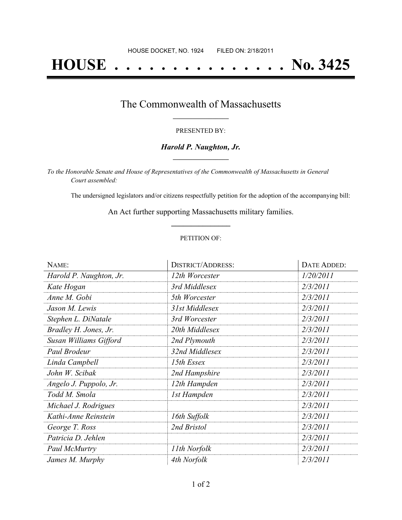# **HOUSE . . . . . . . . . . . . . . . No. 3425**

#### The Commonwealth of Massachusetts **\_\_\_\_\_\_\_\_\_\_\_\_\_\_\_\_\_**

#### PRESENTED BY:

#### *Harold P. Naughton, Jr.* **\_\_\_\_\_\_\_\_\_\_\_\_\_\_\_\_\_**

*To the Honorable Senate and House of Representatives of the Commonwealth of Massachusetts in General Court assembled:*

The undersigned legislators and/or citizens respectfully petition for the adoption of the accompanying bill:

An Act further supporting Massachusetts military families. **\_\_\_\_\_\_\_\_\_\_\_\_\_\_\_**

#### PETITION OF:

| NAME:                   | <b>DISTRICT/ADDRESS:</b> | DATE ADDED: |
|-------------------------|--------------------------|-------------|
| Harold P. Naughton, Jr. | 12th Worcester           | 1/20/2011   |
| Kate Hogan              | 3rd Middlesex            | 2/3/2011    |
| Anne M. Gobi            | 5th Worcester            | 2/3/2011    |
| Jason M. Lewis          | 31st Middlesex           | 2/3/2011    |
| Stephen L. DiNatale     | 3rd Worcester            | 2/3/2011    |
| Bradley H. Jones, Jr.   | 20th Middlesex           | 2/3/2011    |
| Susan Williams Gifford  | 2nd Plymouth             | 2/3/2011    |
| Paul Brodeur            | 32nd Middlesex           | 2/3/2011    |
| Linda Campbell          | 15th Essex               | 2/3/2011    |
| John W. Scibak          | 2nd Hampshire            | 2/3/2011    |
| Angelo J. Puppolo, Jr.  | 12th Hampden             | 2/3/2011    |
| Todd M. Smola           | 1st Hampden              | 2/3/2011    |
| Michael J. Rodrigues    |                          | 2/3/2011    |
| Kathi-Anne Reinstein    | 16th Suffolk             | 2/3/2011    |
| George T. Ross          | 2nd Bristol              | 2/3/2011    |
| Patricia D. Jehlen      |                          | 2/3/2011    |
| Paul McMurtry           | 11th Norfolk             | 2/3/2011    |
| James M. Murphy         | 4th Norfolk              | 2/3/2011    |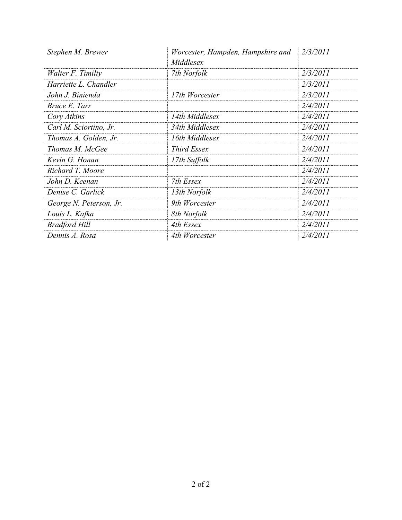| Stephen M. Brewer       | Worcester, Hampden, Hampshire and | 2/3/2011 |
|-------------------------|-----------------------------------|----------|
|                         | Middlesex                         |          |
| Walter F. Timilty       | 7th Norfolk                       | 2/3/2011 |
| Harriette L. Chandler   |                                   | 2/3/2011 |
| John J. Binienda        | 17th Worcester                    | 2/3/2011 |
| Bruce E. Tarr           |                                   | 2/4/2011 |
| Cory Atkins             | 14th Middlesex                    | 2/4/2011 |
| Carl M. Sciortino, Jr.  | 34th Middlesex                    | 2/4/2011 |
| Thomas A. Golden, Jr.   | 16th Middlesex                    | 2/4/2011 |
| Thomas M. McGee         | <i>Third Essex</i>                | 2/4/2011 |
| Kevin G. Honan          | 17th Suffolk                      | 2/4/2011 |
| Richard T. Moore        |                                   | 2/4/2011 |
| John D. Keenan          | 7th Essex                         | 2/4/2011 |
| Denise C. Garlick       | 13th Norfolk                      | 2/4/2011 |
| George N. Peterson, Jr. | 9th Worcester                     | 2/4/2011 |
| Louis L. Kafka          | 8th Norfolk                       | 2/4/2011 |
| <b>Bradford Hill</b>    | 4th Essex                         | 2/4/2011 |
| Dennis A. Rosa          | 4th Worcester                     | 2/4/2011 |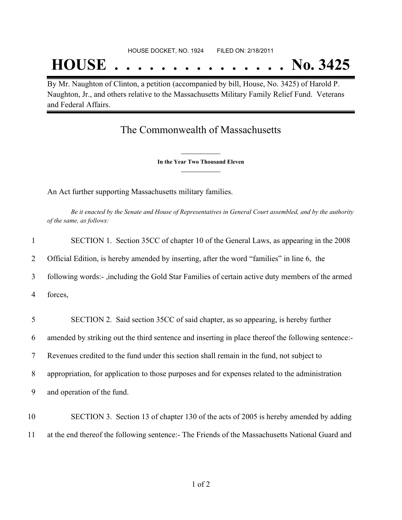## **HOUSE . . . . . . . . . . . . . . . No. 3425**

By Mr. Naughton of Clinton, a petition (accompanied by bill, House, No. 3425) of Harold P. Naughton, Jr., and others relative to the Massachusetts Military Family Relief Fund. Veterans and Federal Affairs.

### The Commonwealth of Massachusetts

**\_\_\_\_\_\_\_\_\_\_\_\_\_\_\_ In the Year Two Thousand Eleven \_\_\_\_\_\_\_\_\_\_\_\_\_\_\_**

An Act further supporting Massachusetts military families.

Be it enacted by the Senate and House of Representatives in General Court assembled, and by the authority *of the same, as follows:*

| 1  | SECTION 1. Section 35CC of chapter 10 of the General Laws, as appearing in the 2008                |
|----|----------------------------------------------------------------------------------------------------|
| 2  | Official Edition, is hereby amended by inserting, after the word "families" in line 6, the         |
| 3  | following words:-, including the Gold Star Families of certain active duty members of the armed    |
| 4  | forces,                                                                                            |
| 5  | SECTION 2. Said section 35CC of said chapter, as so appearing, is hereby further                   |
|    |                                                                                                    |
| 6  | amended by striking out the third sentence and inserting in place thereof the following sentence:- |
| 7  | Revenues credited to the fund under this section shall remain in the fund, not subject to          |
| 8  | appropriation, for application to those purposes and for expenses related to the administration    |
| 9  | and operation of the fund.                                                                         |
| 10 | SECTION 3. Section 13 of chapter 130 of the acts of 2005 is hereby amended by adding               |

11 at the end thereof the following sentence:- The Friends of the Massachusetts National Guard and